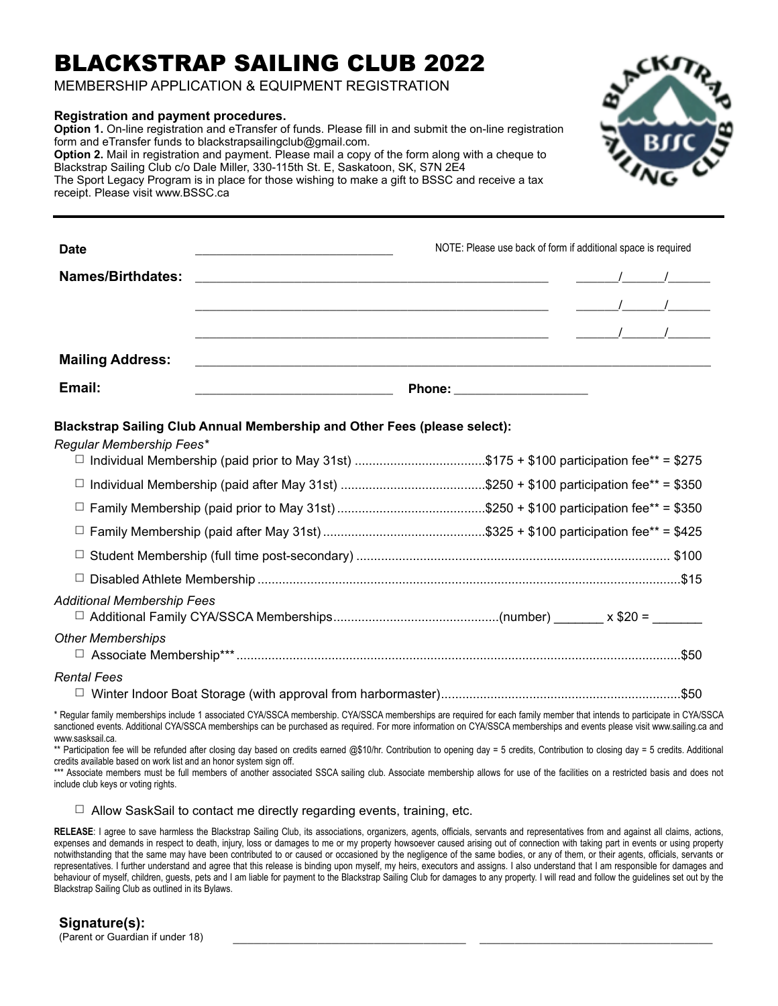## BLACKSTRAP SAILING CLUB 2022

MEMBERSHIP APPLICATION & EQUIPMENT REGISTRATION

## **Registration and payment procedures.**

**Option 1.** On-line registration and eTransfer of funds. Please fill in and submit the on-line registration form and eTransfer funds to blackstrapsailingclub@gmail.com. **Option 2.** Mail in registration and payment. Please mail a copy of the form along with a cheque to Blackstrap Sailing Club c/o Dale Miller, 330-115th St. E, Saskatoon, SK, S7N 2E4 The Sport Legacy Program is in place for those wishing to make a gift to BSSC and receive a tax receipt. Please visit www.BSSC.ca



| Rental Fees                                                                                |  |
|--------------------------------------------------------------------------------------------|--|
| <b>Other Memberships</b>                                                                   |  |
| Additional Membership Fees                                                                 |  |
|                                                                                            |  |
|                                                                                            |  |
|                                                                                            |  |
|                                                                                            |  |
|                                                                                            |  |
| □ Individual Membership (paid prior to May 31st) \$175 + \$100 participation fee** = \$275 |  |

□ Winter Indoor Boat Storage (with approval from harbormaster)....................................................................\$50

\* Regular family memberships include 1 associated CYA/SSCA membership. CYA/SSCA memberships are required for each family member that intends to participate in CYA/SSCA sanctioned events. Additional CYA/SSCA memberships can be purchased as required. For more information on CYA/SSCA memberships and events please visit www.sailing.ca and www.sasksail.ca.

\*\* Participation fee will be refunded after closing day based on credits earned @\$10/hr. Contribution to pening day = 5 credits, Contribution to closing day = 5 credits. Additional credits available based on work list and an honor system sign off.

\*\*\* Associate members must be full members of another associated SSCA sailing club. Associate membership allows for use of the facilities on a restricted basis and does not include club keys or voting rights.

 $\Box$  Allow SaskSail to contact me directly regarding events, training, etc.

RELEASE: I agree to save harmless the Blackstrap Sailing Club, its associations, organizers, agents, officials, servants and representatives from and against all claims, actions, expenses and demands in respect to death, injury, loss or damages to me or my property howsoever caused arising out of connection with taking part in events or using property notwithstanding that the same may have been contributed to or caused or occasioned by the negligence of the same bodies, or any of them, or their agents, officials, servants or representatives. I further understand and agree that this release is binding upon myself, my heirs, executors and assigns. I also understand that I am responsible for damages and behaviour of myself, children, guests, pets and I am liable for payment to the Blackstrap Sailing Club for damages to any property. I will read and follow the quidelines set out by the Blackstrap Sailing Club as outlined in its Bylaws.